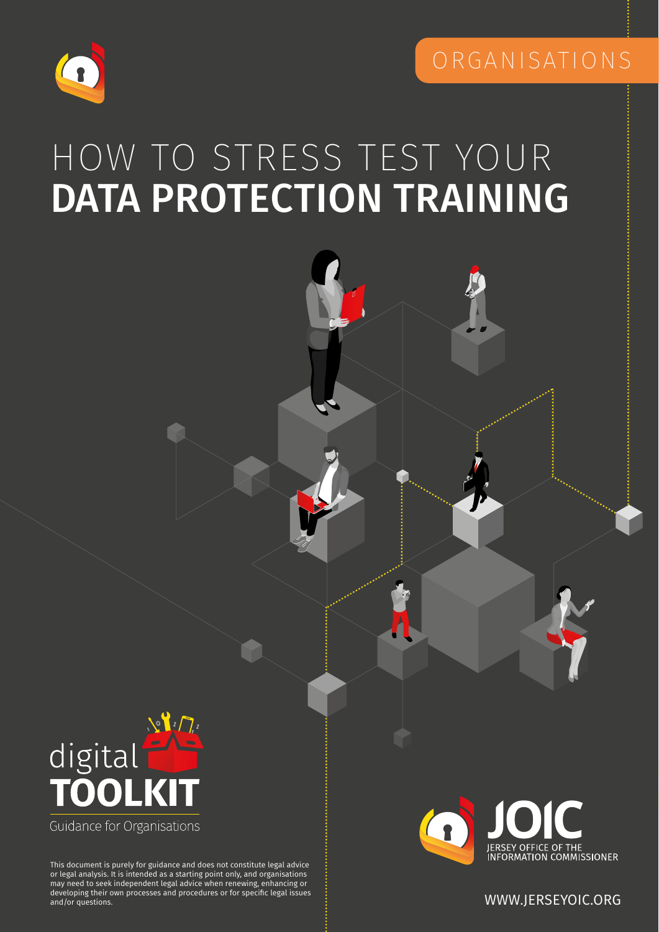



# HOW TO STRESS TEST YOUR DATA PROTECTION TRAINING



may need to seek independent legal advice when renewing, enhancing or<br>developing their own processes and procedures or for specific legal issue: This document is purely for guidance and does not constitute legal advice or legal analysis. It is intended as a starting point only, and organisations developing their own processes and procedures or for specific legal issues and/or questions.<br>and/or questions. WWW.JERSEYOIC.ORG

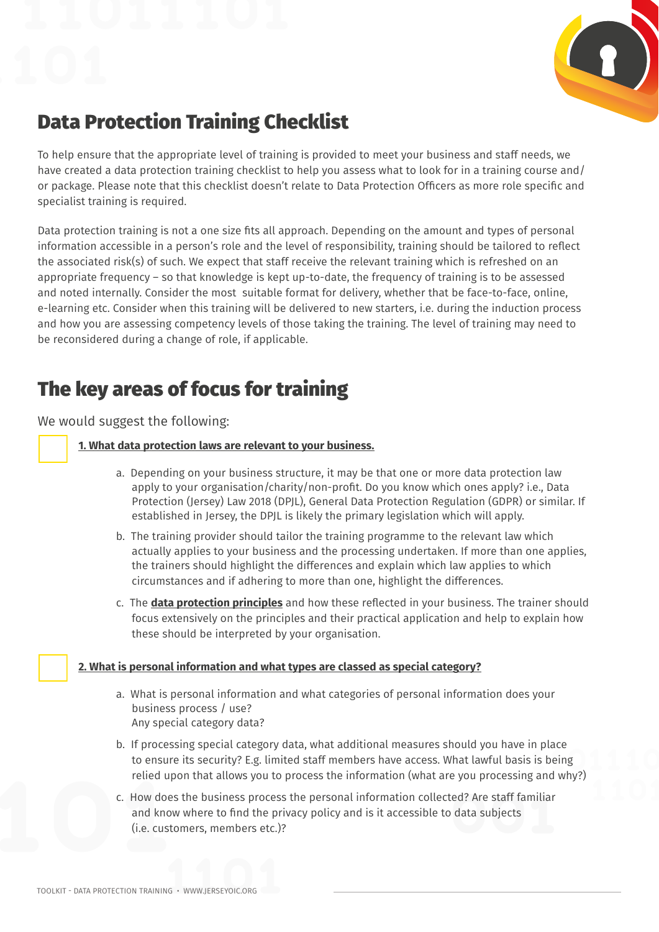

## Data Protection Training Checklist

To help ensure that the appropriate level of training is provided to meet your business and staff needs, we have created a data protection training checklist to help you assess what to look for in a training course and/ or package. Please note that this checklist doesn't relate to Data Protection Officers as more role specific and specialist training is required.

Data protection training is not a one size fits all approach. Depending on the amount and types of personal information accessible in a person's role and the level of responsibility, training should be tailored to reflect the associated risk(s) of such. We expect that staff receive the relevant training which is refreshed on an appropriate frequency – so that knowledge is kept up-to-date, the frequency of training is to be assessed and noted internally. Consider the most suitable format for delivery, whether that be face-to-face, online, e-learning etc. Consider when this training will be delivered to new starters, i.e. during the induction process and how you are assessing competency levels of those taking the training. The level of training may need to be reconsidered during a change of role, if applicable.

## The key areas of focus for training

We would suggest the following:

### **1. What data protection laws are relevant to your business.**

- a. Depending on your business structure, it may be that one or more data protection law apply to your organisation/charity/non-profit. Do you know which ones apply? i.e., Data Protection (Jersey) Law 2018 (DPJL), General Data Protection Regulation (GDPR) or similar. If established in Jersey, the DPJL is likely the primary legislation which will apply.
- b. The training provider should tailor the training programme to the relevant law which actually applies to your business and the processing undertaken. If more than one applies, the trainers should highlight the differences and explain which law applies to which circumstances and if adhering to more than one, highlight the differences.
- c. The **[data protection principles](https://jerseyoic.org/media/iwcf3hr2/joic-09a-the-data-protection-principles_3.pdf)** and how these reflected in your business. The trainer should focus extensively on the principles and their practical application and help to explain how these should be interpreted by your organisation.

#### **2. What is personal information and what types are classed as special category?**

- a. What is personal information and what categories of personal information does your business process / use? Any special category data?
- b. If processing special category data, what additional measures should you have in place to ensure its security? E.g. limited staff members have access. What lawful basis is being relied upon that allows you to process the information (what are you processing and why?)
- c. How does the business process the personal information collected? Are staff familiar and know where to find the privacy policy and is it accessible to data subjects (i.e. customers, members etc.)?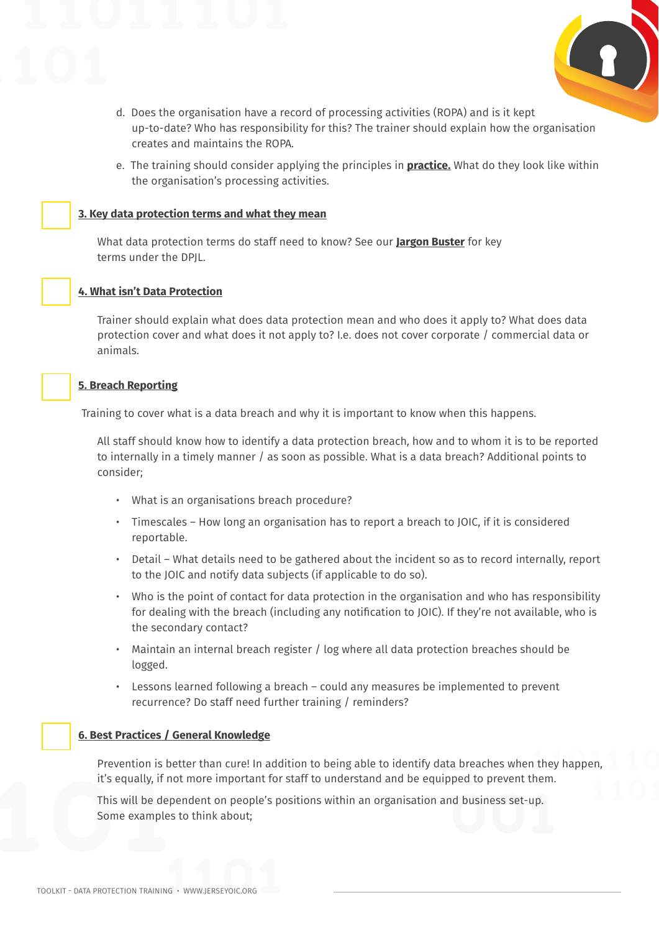

- d. Does the organisation have a record of processing activities (ROPA) and is it kept up-to-date? Who has responsibility for this? The trainer should explain how the organisation creates and maintains the ROPA.
- e. The training should consider applying the principles in **practice.** What do they look like within the organisation's processing activities.

#### **3. Key data protection terms and what they mean**

What data protection terms do staff need to know? See our **[Jargon Buster](https://jerseyoic.org/media/bl2g3e4p/29_tk_jargon-buster.pdf)** for key terms under the DPJL.

#### **4. What isn't Data Protection**

Trainer should explain what does data protection mean and who does it apply to? What does data protection cover and what does it not apply to? I.e. does not cover corporate / commercial data or animals.

#### **5. Breach Reporting**

Training to cover what is a data breach and why it is important to know when this happens.

All staff should know how to identify a data protection breach, how and to whom it is to be reported to internally in a timely manner / as soon as possible. What is a data breach? Additional points to consider;

- What is an organisations breach procedure?
- Timescales How long an organisation has to report a breach to JOIC, if it is considered reportable.
- Detail What details need to be gathered about the incident so as to record internally, report to the JOIC and notify data subjects (if applicable to do so).
- Who is the point of contact for data protection in the organisation and who has responsibility for dealing with the breach (including any notification to JOIC). If they're not available, who is the secondary contact?
- Maintain an internal breach register / log where all data protection breaches should be logged.
- Lessons learned following a breach could any measures be implemented to prevent recurrence? Do staff need further training / reminders?

#### **6. Best Practices / General Knowledge**

Prevention is better than cure! In addition to being able to identify data breaches when they happen, it's equally, if not more important for staff to understand and be equipped to prevent them.

This will be dependent on people's positions within an organisation and business set-up. Some examples to think about;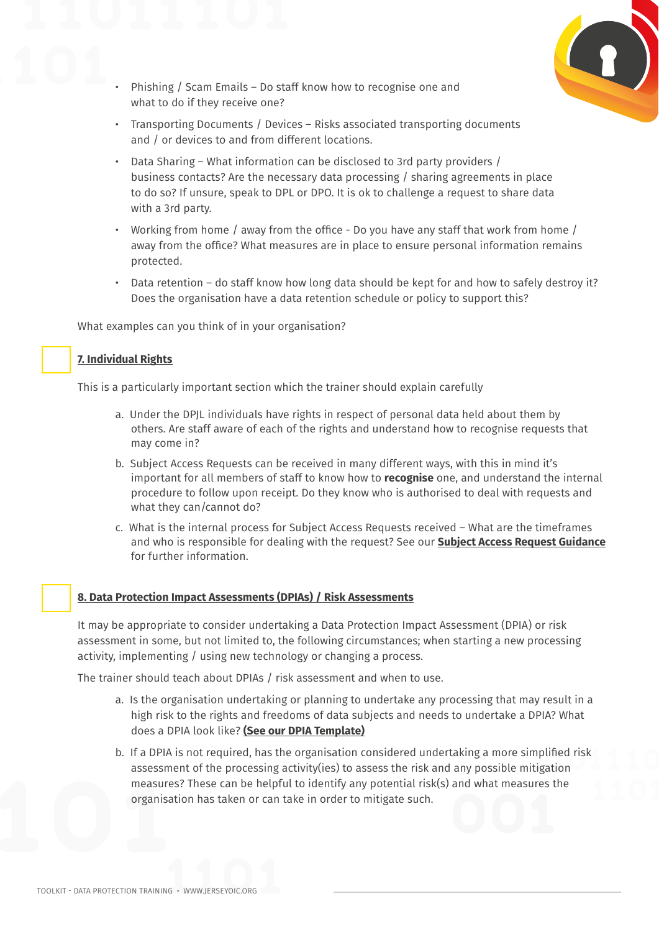

- Phishing / Scam Emails Do staff know how to recognise one and what to do if they receive one?
- Transporting Documents / Devices Risks associated transporting documents and / or devices to and from different locations.
- Data Sharing What information can be disclosed to 3rd party providers / business contacts? Are the necessary data processing / sharing agreements in place to do so? If unsure, speak to DPL or DPO. It is ok to challenge a request to share data with a 3rd party.
- Working from home / away from the office Do you have any staff that work from home / away from the office? What measures are in place to ensure personal information remains protected.
- Data retention do staff know how long data should be kept for and how to safely destroy it? Does the organisation have a data retention schedule or policy to support this?

What examples can you think of in your organisation?

#### **7. Individual Rights**

This is a particularly important section which the trainer should explain carefully

- a. Under the DPJL individuals have rights in respect of personal data held about them by others. Are staff aware of each of the rights and understand how to recognise requests that may come in?
- b. Subject Access Requests can be received in many different ways, with this in mind it's important for all members of staff to know how to **recognise** one, and understand the internal procedure to follow upon receipt. Do they know who is authorised to deal with requests and what they can/cannot do?
- c. What is the internal process for Subject Access Requests received What are the timeframes and who is responsible for dealing with the request? See our **[Subject Access Request Guidance](https://jerseyoic.org/media/dexnmmcy/joic-31a-subject-access-requests_2.pdf)** for further information.

#### **8. Data Protection Impact Assessments (DPIAs) / Risk Assessments**

It may be appropriate to consider undertaking a Data Protection Impact Assessment (DPIA) or risk assessment in some, but not limited to, the following circumstances; when starting a new processing activity, implementing / using new technology or changing a process.

The trainer should teach about DPIAs / risk assessment and when to use.

- a. Is the organisation undertaking or planning to undertake any processing that may result in a high risk to the rights and freedoms of data subjects and needs to undertake a DPIA? What does a DPIA look like? **[\(See our DPIA Template\)](https://jerseyoic.org/media/joqfvcyo/16_tk_dpia-template_interactive.pdf)**
- b. If a DPIA is not required, has the organisation considered undertaking a more simplified risk assessment of the processing activity(ies) to assess the risk and any possible mitigation measures? These can be helpful to identify any potential risk(s) and what measures the organisation has taken or can take in order to mitigate such.